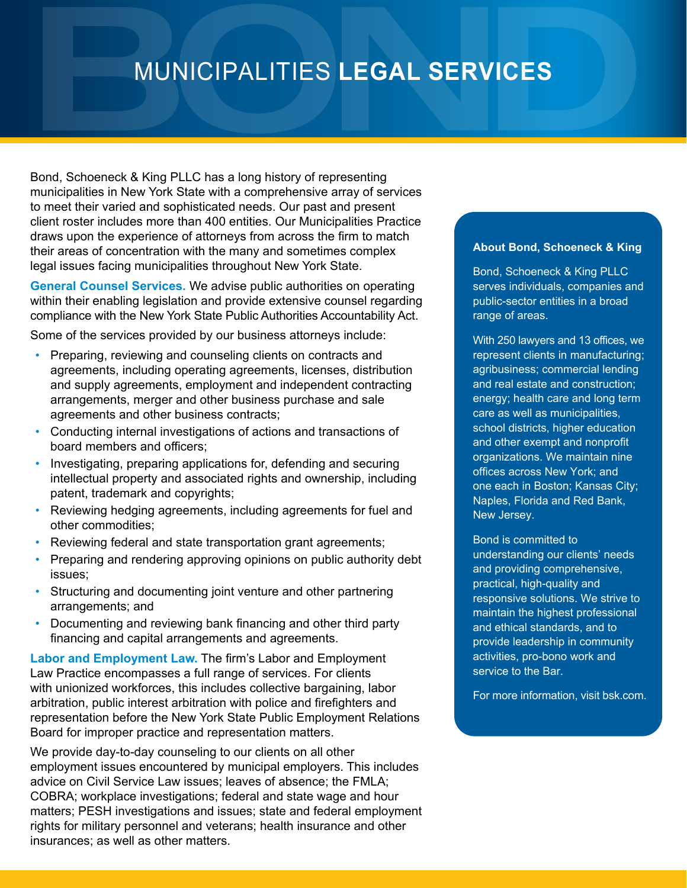# MUNICIPALITIES **LEGAL SERVICES**

Bond, Schoeneck & King PLLC has a long history of representing municipalities in New York State with a comprehensive array of services to meet their varied and sophisticated needs. Our past and present client roster includes more than 400 entities. Our Municipalities Practice draws upon the experience of attorneys from across the firm to match their areas of concentration with the many and sometimes complex legal issues facing municipalities throughout New York State.

**General Counsel Services.** We advise public authorities on operating within their enabling legislation and provide extensive counsel regarding compliance with the New York State Public Authorities Accountability Act.

Some of the services provided by our business attorneys include:

- Preparing, reviewing and counseling clients on contracts and agreements, including operating agreements, licenses, distribution and supply agreements, employment and independent contracting arrangements, merger and other business purchase and sale agreements and other business contracts;
- Conducting internal investigations of actions and transactions of board members and officers;
- Investigating, preparing applications for, defending and securing intellectual property and associated rights and ownership, including patent, trademark and copyrights;
- Reviewing hedging agreements, including agreements for fuel and other commodities;
- Reviewing federal and state transportation grant agreements;
- Preparing and rendering approving opinions on public authority debt issues;
- Structuring and documenting joint venture and other partnering arrangements; and
- Documenting and reviewing bank financing and other third party financing and capital arrangements and agreements.

**Labor and Employment Law.** The firm's Labor and Employment Law Practice encompasses a full range of services. For clients with unionized workforces, this includes collective bargaining, labor arbitration, public interest arbitration with police and firefighters and representation before the New York State Public Employment Relations Board for improper practice and representation matters.

We provide day-to-day counseling to our clients on all other employment issues encountered by municipal employers. This includes advice on Civil Service Law issues; leaves of absence; the FMLA; COBRA; workplace investigations; federal and state wage and hour matters; PESH investigations and issues; state and federal employment rights for military personnel and veterans; health insurance and other insurances; as well as other matters.

#### **About Bond, Schoeneck & King**

Bond, Schoeneck & King PLLC serves individuals, companies and public-sector entities in a broad range of areas.

With 250 lawyers and 13 offices, we represent clients in manufacturing; agribusiness; commercial lending and real estate and construction; energy; health care and long term care as well as municipalities, school districts, higher education and other exempt and nonprofit organizations. We maintain nine offices across New York; and one each in Boston; Kansas City; Naples, Florida and Red Bank, New Jersey.

Bond is committed to understanding our clients' needs and providing comprehensive, practical, high-quality and responsive solutions. We strive to maintain the highest professional and ethical standards, and to provide leadership in community activities, pro-bono work and service to the Bar.

For more information, visit bsk.com.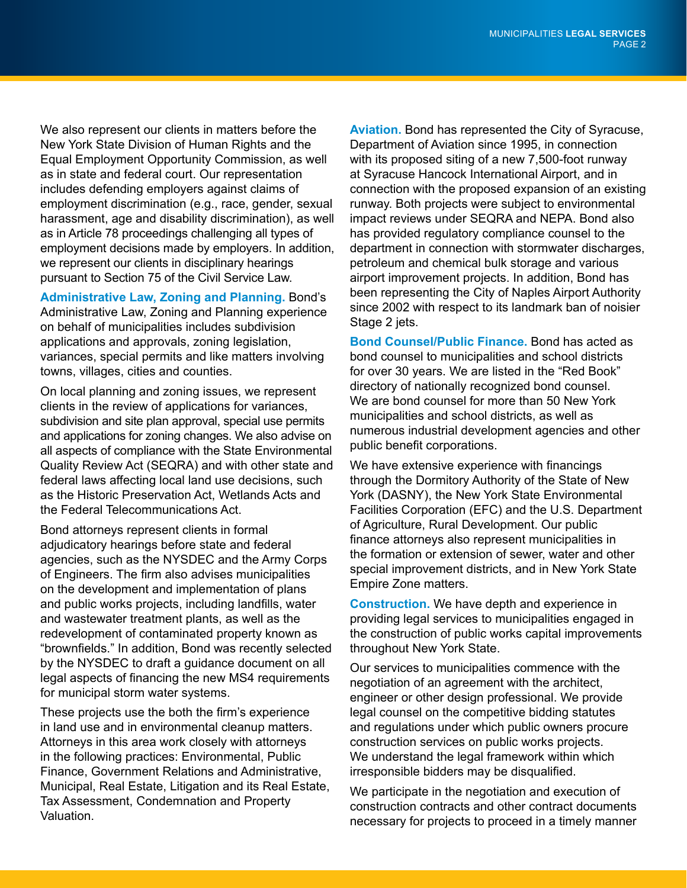We also represent our clients in matters before the New York State Division of Human Rights and the Equal Employment Opportunity Commission, as well as in state and federal court. Our representation includes defending employers against claims of employment discrimination (e.g., race, gender, sexual harassment, age and disability discrimination), as well as in Article 78 proceedings challenging all types of employment decisions made by employers. In addition, we represent our clients in disciplinary hearings pursuant to Section 75 of the Civil Service Law.

**Administrative Law, Zoning and Planning.** Bond's Administrative Law, Zoning and Planning experience on behalf of municipalities includes subdivision applications and approvals, zoning legislation, variances, special permits and like matters involving towns, villages, cities and counties.

On local planning and zoning issues, we represent clients in the review of applications for variances, subdivision and site plan approval, special use permits and applications for zoning changes. We also advise on all aspects of compliance with the State Environmental Quality Review Act (SEQRA) and with other state and federal laws affecting local land use decisions, such as the Historic Preservation Act, Wetlands Acts and the Federal Telecommunications Act.

Bond attorneys represent clients in formal adjudicatory hearings before state and federal agencies, such as the NYSDEC and the Army Corps of Engineers. The firm also advises municipalities on the development and implementation of plans and public works projects, including landfills, water and wastewater treatment plants, as well as the redevelopment of contaminated property known as "brownfields." In addition, Bond was recently selected by the NYSDEC to draft a guidance document on all legal aspects of financing the new MS4 requirements for municipal storm water systems.

These projects use the both the firm's experience in land use and in environmental cleanup matters. Attorneys in this area work closely with attorneys in the following practices: Environmental, Public Finance, Government Relations and Administrative, Municipal, Real Estate, Litigation and its Real Estate, Tax Assessment, Condemnation and Property Valuation.

**Aviation.** Bond has represented the City of Syracuse, Department of Aviation since 1995, in connection with its proposed siting of a new 7,500-foot runway at Syracuse Hancock International Airport, and in connection with the proposed expansion of an existing runway. Both projects were subject to environmental impact reviews under SEQRA and NEPA. Bond also has provided regulatory compliance counsel to the department in connection with stormwater discharges, petroleum and chemical bulk storage and various airport improvement projects. In addition, Bond has been representing the City of Naples Airport Authority since 2002 with respect to its landmark ban of noisier Stage 2 jets.

**Bond Counsel/Public Finance.** Bond has acted as bond counsel to municipalities and school districts for over 30 years. We are listed in the "Red Book" directory of nationally recognized bond counsel. We are bond counsel for more than 50 New York municipalities and school districts, as well as numerous industrial development agencies and other public benefit corporations.

We have extensive experience with financings through the Dormitory Authority of the State of New York (DASNY), the New York State Environmental Facilities Corporation (EFC) and the U.S. Department of Agriculture, Rural Development. Our public finance attorneys also represent municipalities in the formation or extension of sewer, water and other special improvement districts, and in New York State Empire Zone matters.

**Construction.** We have depth and experience in providing legal services to municipalities engaged in the construction of public works capital improvements throughout New York State.

Our services to municipalities commence with the negotiation of an agreement with the architect, engineer or other design professional. We provide legal counsel on the competitive bidding statutes and regulations under which public owners procure construction services on public works projects. We understand the legal framework within which irresponsible bidders may be disqualified.

We participate in the negotiation and execution of construction contracts and other contract documents necessary for projects to proceed in a timely manner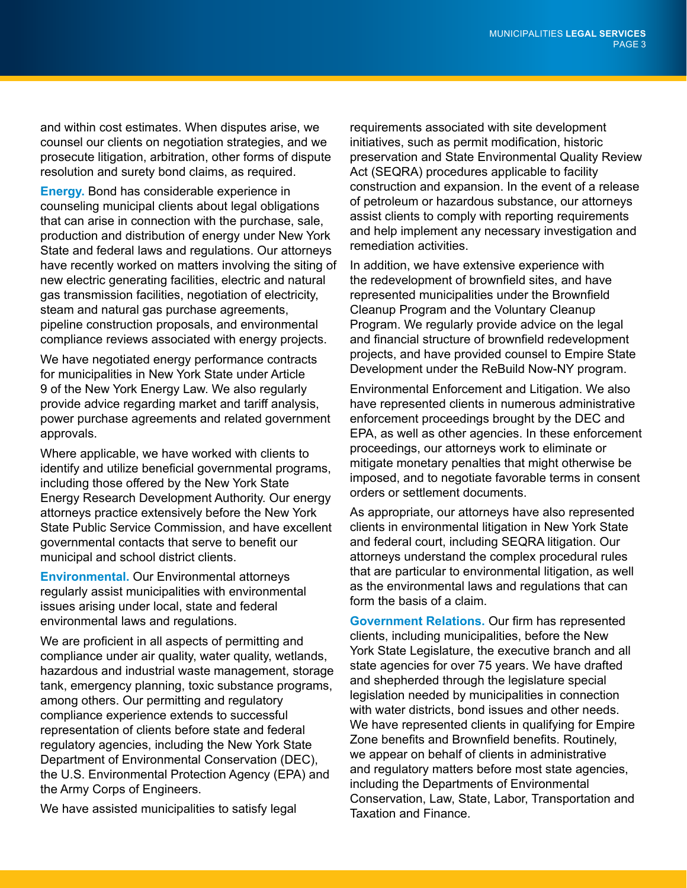and within cost estimates. When disputes arise, we counsel our clients on negotiation strategies, and we prosecute litigation, arbitration, other forms of dispute resolution and surety bond claims, as required.

**Energy.** Bond has considerable experience in counseling municipal clients about legal obligations that can arise in connection with the purchase, sale, production and distribution of energy under New York State and federal laws and regulations. Our attorneys have recently worked on matters involving the siting of new electric generating facilities, electric and natural gas transmission facilities, negotiation of electricity, steam and natural gas purchase agreements, pipeline construction proposals, and environmental compliance reviews associated with energy projects.

We have negotiated energy performance contracts for municipalities in New York State under Article 9 of the New York Energy Law. We also regularly provide advice regarding market and tariff analysis, power purchase agreements and related government approvals.

Where applicable, we have worked with clients to identify and utilize beneficial governmental programs, including those offered by the New York State Energy Research Development Authority. Our energy attorneys practice extensively before the New York State Public Service Commission, and have excellent governmental contacts that serve to benefit our municipal and school district clients.

**Environmental.** Our Environmental attorneys regularly assist municipalities with environmental issues arising under local, state and federal environmental laws and regulations.

We are proficient in all aspects of permitting and compliance under air quality, water quality, wetlands, hazardous and industrial waste management, storage tank, emergency planning, toxic substance programs, among others. Our permitting and regulatory compliance experience extends to successful representation of clients before state and federal regulatory agencies, including the New York State Department of Environmental Conservation (DEC), the U.S. Environmental Protection Agency (EPA) and the Army Corps of Engineers.

We have assisted municipalities to satisfy legal

requirements associated with site development initiatives, such as permit modification, historic preservation and State Environmental Quality Review Act (SEQRA) procedures applicable to facility construction and expansion. In the event of a release of petroleum or hazardous substance, our attorneys assist clients to comply with reporting requirements and help implement any necessary investigation and remediation activities.

In addition, we have extensive experience with the redevelopment of brownfield sites, and have represented municipalities under the Brownfield Cleanup Program and the Voluntary Cleanup Program. We regularly provide advice on the legal and financial structure of brownfield redevelopment projects, and have provided counsel to Empire State Development under the ReBuild Now-NY program.

Environmental Enforcement and Litigation. We also have represented clients in numerous administrative enforcement proceedings brought by the DEC and EPA, as well as other agencies. In these enforcement proceedings, our attorneys work to eliminate or mitigate monetary penalties that might otherwise be imposed, and to negotiate favorable terms in consent orders or settlement documents.

As appropriate, our attorneys have also represented clients in environmental litigation in New York State and federal court, including SEQRA litigation. Our attorneys understand the complex procedural rules that are particular to environmental litigation, as well as the environmental laws and regulations that can form the basis of a claim.

**Government Relations.** Our firm has represented clients, including municipalities, before the New York State Legislature, the executive branch and all state agencies for over 75 years. We have drafted and shepherded through the legislature special legislation needed by municipalities in connection with water districts, bond issues and other needs. We have represented clients in qualifying for Empire Zone benefits and Brownfield benefits. Routinely, we appear on behalf of clients in administrative and regulatory matters before most state agencies, including the Departments of Environmental Conservation, Law, State, Labor, Transportation and Taxation and Finance.